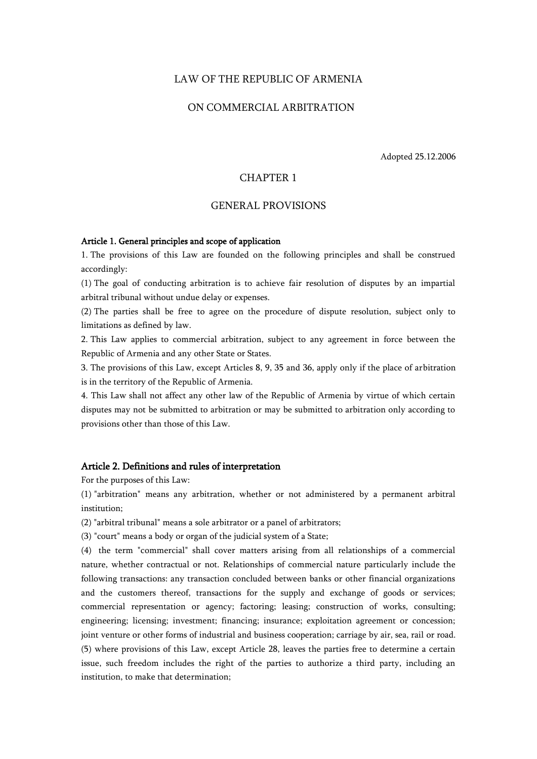## LAW OF THE REPUBLIC OF ARMENIA

# ON COMMERCIAL ARBITRATION

Adopted 25.12.2006

# CHAPTER 1

# GENERAL PROVISIONS

## Article 1. General principles and scope of application

1. The provisions of this Law are founded on the following principles and shall be construed accordingly:

(1) The goal of conducting arbitration is to achieve fair resolution of disputes by an impartial arbitral tribunal without undue delay or expenses.

(2) The parties shall be free to agree on the procedure of dispute resolution, subject only to limitations as defined by law.

2. This Law applies to commercial arbitration, subject to any agreement in force between the Republic of Armenia and any other State or States.

3. The provisions of this Law, except Articles 8, 9, 35 and 36, apply only if the place of arbitration is in the territory of the Republic of Armenia.

4. This Law shall not affect any other law of the Republic of Armenia by virtue of which certain disputes may not be submitted to arbitration or may be submitted to arbitration only according to provisions other than those of this Law.

### Article 2. Definitions and rules of interpretation

For the purposes of this Law:

(1) "arbitration" means any arbitration, whether or not administered by a permanent arbitral institution;

(2) "arbitral tribunal" means a sole arbitrator or a panel of arbitrators;

(3) "court" means a body or organ of the judicial system of a State;

(4) the term "commercial" shall cover matters arising from all relationships of a commercial nature, whether contractual or not. Relationships of commercial nature particularly include the following transactions: any transaction concluded between banks or other financial organizations and the customers thereof, transactions for the supply and exchange of goods or services; commercial representation or agency; factoring; leasing; construction of works, consulting; engineering; licensing; investment; financing; insurance; exploitation agreement or concession; joint venture or other forms of industrial and business cooperation; carriage by air, sea, rail or road. (5) where provisions of this Law, except Article 28, leaves the parties free to determine a certain issue, such freedom includes the right of the parties to authorize a third party, including an institution, to make that determination;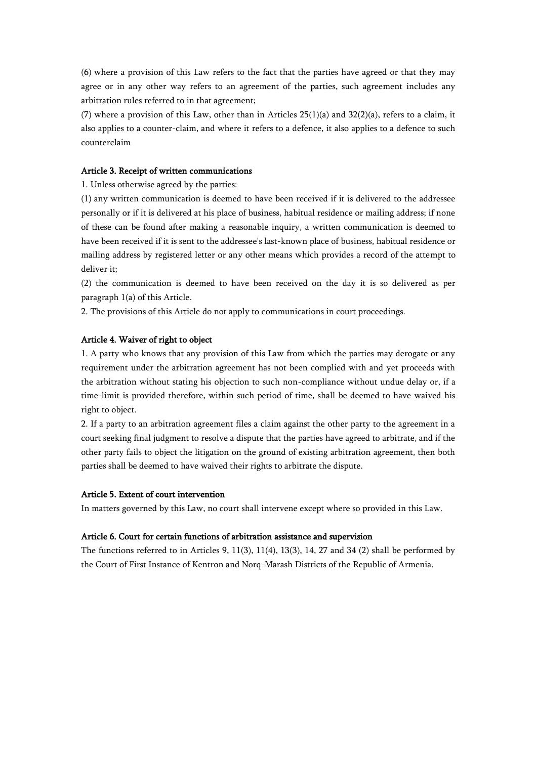(6) where a provision of this Law refers to the fact that the parties have agreed or that they may agree or in any other way refers to an agreement of the parties, such agreement includes any arbitration rules referred to in that agreement;

(7) where a provision of this Law, other than in Articles  $25(1)(a)$  and  $32(2)(a)$ , refers to a claim, it also applies to a counter-claim, and where it refers to a defence, it also applies to a defence to such counterclaim

#### Article 3. Receipt of written communications

1. Unless otherwise agreed by the parties:

(1) any written communication is deemed to have been received if it is delivered to the addressee personally or if it is delivered at his place of business, habitual residence or mailing address; if none of these can be found after making a reasonable inquiry, a written communication is deemed to have been received if it is sent to the addressee's last-known place of business, habitual residence or mailing address by registered letter or any other means which provides a record of the attempt to deliver it;

(2) the communication is deemed to have been received on the day it is so delivered as per paragraph 1(a) of this Article.

2. The provisions of this Article do not apply to communications in court proceedings.

## Article 4. Waiver of right to object

1. A party who knows that any provision of this Law from which the parties may derogate or any requirement under the arbitration agreement has not been complied with and yet proceeds with the arbitration without stating his objection to such non-compliance without undue delay or, if a time-limit is provided therefore, within such period of time, shall be deemed to have waived his right to object.

2. If a party to an arbitration agreement files a claim against the other party to the agreement in a court seeking final judgment to resolve a dispute that the parties have agreed to arbitrate, and if the other party fails to object the litigation on the ground of existing arbitration agreement, then both parties shall be deemed to have waived their rights to arbitrate the dispute.

## Article 5. Extent of court intervention

In matters governed by this Law, no court shall intervene except where so provided in this Law.

#### Article 6. Court for certain functions of arbitration assistance and supervision

The functions referred to in Articles 9, 11(3), 11(4), 13(3), 14, 27 and 34 (2) shall be performed by the Court of First Instance of Kentron and Norq-Marash Districts of the Republic of Armenia.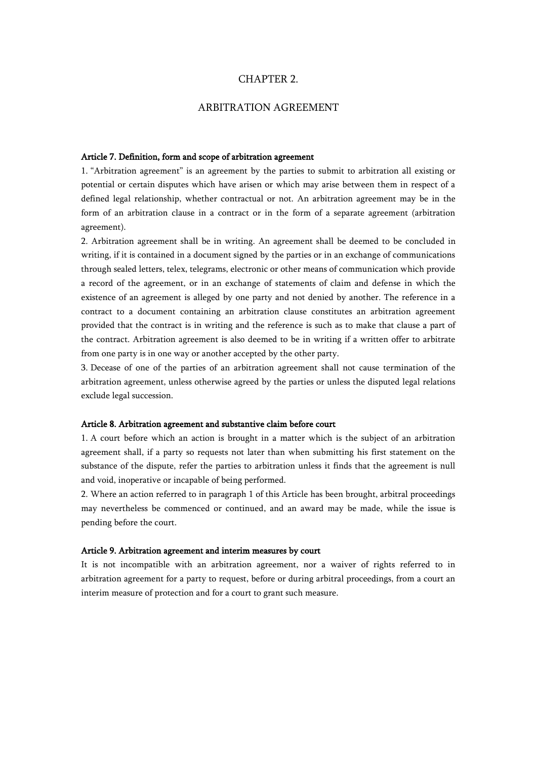## CHAPTER 2.

# ARBITRATION AGREEMENT

#### Article 7. Definition, form and scope of arbitration agreement

1. "Arbitration agreement" is an agreement by the parties to submit to arbitration all existing or potential or certain disputes which have arisen or which may arise between them in respect of a defined legal relationship, whether contractual or not. An arbitration agreement may be in the form of an arbitration clause in a contract or in the form of a separate agreement (arbitration agreement).

2. Arbitration agreement shall be in writing. An agreement shall be deemed to be concluded in writing, if it is contained in a document signed by the parties or in an exchange of communications through sealed letters, telex, telegrams, electronic or other means of communication which provide a record of the agreement, or in an exchange of statements of claim and defense in which the existence of an agreement is alleged by one party and not denied by another. The reference in a contract to a document containing an arbitration clause constitutes an arbitration agreement provided that the contract is in writing and the reference is such as to make that clause a part of the contract. Arbitration agreement is also deemed to be in writing if a written offer to arbitrate from one party is in one way or another accepted by the other party.

3. Decease of one of the parties of an arbitration agreement shall not cause termination of the arbitration agreement, unless otherwise agreed by the parties or unless the disputed legal relations exclude legal succession.

#### Article 8. Arbitration agreement and substantive claim before court

1. A court before which an action is brought in a matter which is the subject of an arbitration agreement shall, if a party so requests not later than when submitting his first statement on the substance of the dispute, refer the parties to arbitration unless it finds that the agreement is null and void, inoperative or incapable of being performed.

2. Where an action referred to in paragraph 1 of this Article has been brought, arbitral proceedings may nevertheless be commenced or continued, and an award may be made, while the issue is pending before the court.

### Article 9. Arbitration agreement and interim measures by court

It is not incompatible with an arbitration agreement, nor a waiver of rights referred to in arbitration agreement for a party to request, before or during arbitral proceedings, from a court an interim measure of protection and for a court to grant such measure.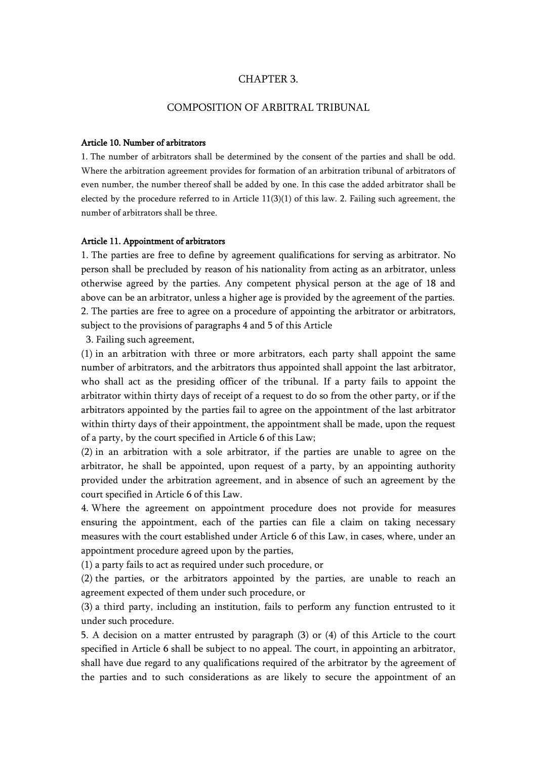# CHAPTER 3.

# COMPOSITION OF ARBITRAL TRIBUNAL

## Article 10. Number of arbitrators

1. The number of arbitrators shall be determined by the consent of the parties and shall be odd. Where the arbitration agreement provides for formation of an arbitration tribunal of arbitrators of even number, the number thereof shall be added by one. In this case the added arbitrator shall be elected by the procedure referred to in Article 11(3)(1) of this law. 2. Failing such agreement, the number of arbitrators shall be three.

## Article 11. Appointment of arbitrators

1. The parties are free to define by agreement qualifications for serving as arbitrator. No person shall be precluded by reason of his nationality from acting as an arbitrator, unless otherwise agreed by the parties. Any competent physical person at the age of 18 and above can be an arbitrator, unless a higher age is provided by the agreement of the parties. 2. The parties are free to agree on a procedure of appointing the arbitrator or arbitrators, subject to the provisions of paragraphs 4 and 5 of this Article

3. Failing such agreement,

(1) in an arbitration with three or more arbitrators, each party shall appoint the same number of arbitrators, and the arbitrators thus appointed shall appoint the last arbitrator, who shall act as the presiding officer of the tribunal. If a party fails to appoint the arbitrator within thirty days of receipt of a request to do so from the other party, or if the arbitrators appointed by the parties fail to agree on the appointment of the last arbitrator within thirty days of their appointment, the appointment shall be made, upon the request of a party, by the court specified in Article 6 of this Law;

(2) in an arbitration with a sole arbitrator, if the parties are unable to agree on the arbitrator, he shall be appointed, upon request of a party, by an appointing authority provided under the arbitration agreement, and in absence of such an agreement by the court specified in Article 6 of this Law.

4. Where the agreement on appointment procedure does not provide for measures ensuring the appointment, each of the parties can file a claim on taking necessary measures with the court established under Article 6 of this Law, in cases, where, under an appointment procedure agreed upon by the parties,

(1) a party fails to act as required under such procedure, or

(2) the parties, or the arbitrators appointed by the parties, are unable to reach an agreement expected of them under such procedure, or

(3) a third party, including an institution, fails to perform any function entrusted to it under such procedure.

5. A decision on a matter entrusted by paragraph (3) or (4) of this Article to the court specified in Article 6 shall be subject to no appeal. The court, in appointing an arbitrator, shall have due regard to any qualifications required of the arbitrator by the agreement of the parties and to such considerations as are likely to secure the appointment of an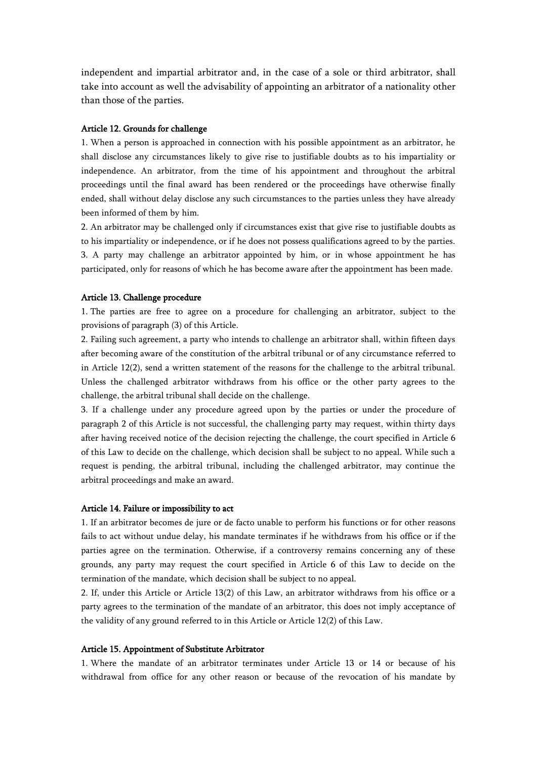independent and impartial arbitrator and, in the case of a sole or third arbitrator, shall take into account as well the advisability of appointing an arbitrator of a nationality other than those of the parties.

## Article 12. Grounds for challenge

1. When a person is approached in connection with his possible appointment as an arbitrator, he shall disclose any circumstances likely to give rise to justifiable doubts as to his impartiality or independence. An arbitrator, from the time of his appointment and throughout the arbitral proceedings until the final award has been rendered or the proceedings have otherwise finally ended, shall without delay disclose any such circumstances to the parties unless they have already been informed of them by him.

2. An arbitrator may be challenged only if circumstances exist that give rise to justifiable doubts as to his impartiality or independence, or if he does not possess qualifications agreed to by the parties. 3. A party may challenge an arbitrator appointed by him, or in whose appointment he has participated, only for reasons of which he has become aware after the appointment has been made.

#### Article 13. Challenge procedure

1. The parties are free to agree on a procedure for challenging an arbitrator, subject to the provisions of paragraph (3) of this Article.

2. Failing such agreement, a party who intends to challenge an arbitrator shall, within fifteen days after becoming aware of the constitution of the arbitral tribunal or of any circumstance referred to in Article 12(2), send a written statement of the reasons for the challenge to the arbitral tribunal. Unless the challenged arbitrator withdraws from his office or the other party agrees to the challenge, the arbitral tribunal shall decide on the challenge.

3. If a challenge under any procedure agreed upon by the parties or under the procedure of paragraph 2 of this Article is not successful, the challenging party may request, within thirty days after having received notice of the decision rejecting the challenge, the court specified in Article 6 of this Law to decide on the challenge, which decision shall be subject to no appeal. While such a request is pending, the arbitral tribunal, including the challenged arbitrator, may continue the arbitral proceedings and make an award.

### Article 14. Failure or impossibility to act

1. If an arbitrator becomes de jure or de facto unable to perform his functions or for other reasons fails to act without undue delay, his mandate terminates if he withdraws from his office or if the parties agree on the termination. Otherwise, if a controversy remains concerning any of these grounds, any party may request the court specified in Article 6 of this Law to decide on the termination of the mandate, which decision shall be subject to no appeal.

2. If, under this Article or Article 13(2) of this Law, an arbitrator withdraws from his office or a party agrees to the termination of the mandate of an arbitrator, this does not imply acceptance of the validity of any ground referred to in this Article or Article 12(2) of this Law.

#### Article 15. Appointment of Substitute Arbitrator

1. Where the mandate of an arbitrator terminates under Article 13 or 14 or because of his withdrawal from office for any other reason or because of the revocation of his mandate by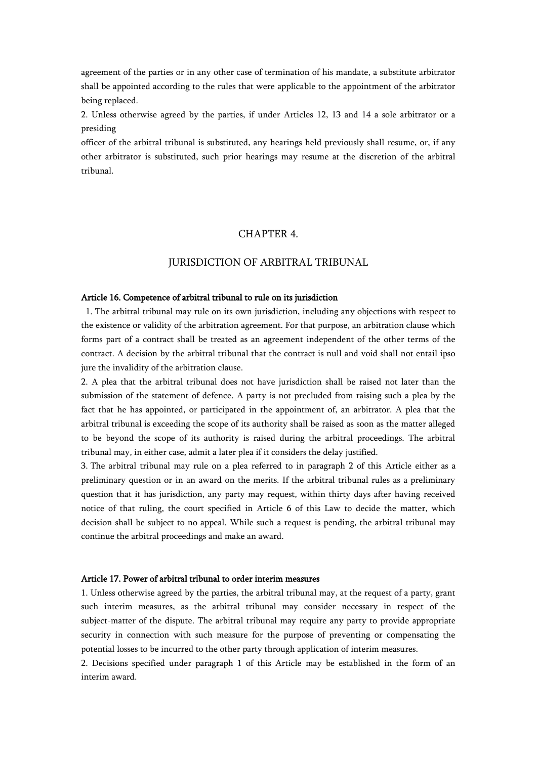agreement of the parties or in any other case of termination of his mandate, a substitute arbitrator shall be appointed according to the rules that were applicable to the appointment of the arbitrator being replaced.

2. Unless otherwise agreed by the parties, if under Articles 12, 13 and 14 a sole arbitrator or a presiding

officer of the arbitral tribunal is substituted, any hearings held previously shall resume, or, if any other arbitrator is substituted, such prior hearings may resume at the discretion of the arbitral tribunal.

# CHAPTER 4.

# JURISDICTION OF ARBITRAL TRIBUNAL

#### Article 16. Competence of arbitral tribunal to rule on its jurisdiction

 1. The arbitral tribunal may rule on its own jurisdiction, including any objections with respect to the existence or validity of the arbitration agreement. For that purpose, an arbitration clause which forms part of a contract shall be treated as an agreement independent of the other terms of the contract. A decision by the arbitral tribunal that the contract is null and void shall not entail ipso jure the invalidity of the arbitration clause.

2. A plea that the arbitral tribunal does not have jurisdiction shall be raised not later than the submission of the statement of defence. A party is not precluded from raising such a plea by the fact that he has appointed, or participated in the appointment of, an arbitrator. A plea that the arbitral tribunal is exceeding the scope of its authority shall be raised as soon as the matter alleged to be beyond the scope of its authority is raised during the arbitral proceedings. The arbitral tribunal may, in either case, admit a later plea if it considers the delay justified.

3. The arbitral tribunal may rule on a plea referred to in paragraph 2 of this Article either as a preliminary question or in an award on the merits. If the arbitral tribunal rules as a preliminary question that it has jurisdiction, any party may request, within thirty days after having received notice of that ruling, the court specified in Article 6 of this Law to decide the matter, which decision shall be subject to no appeal. While such a request is pending, the arbitral tribunal may continue the arbitral proceedings and make an award.

## Article 17. Power of arbitral tribunal to order interim measures

1. Unless otherwise agreed by the parties, the arbitral tribunal may, at the request of a party, grant such interim measures, as the arbitral tribunal may consider necessary in respect of the subject-matter of the dispute. The arbitral tribunal may require any party to provide appropriate security in connection with such measure for the purpose of preventing or compensating the potential losses to be incurred to the other party through application of interim measures.

2. Decisions specified under paragraph 1 of this Article may be established in the form of an interim award.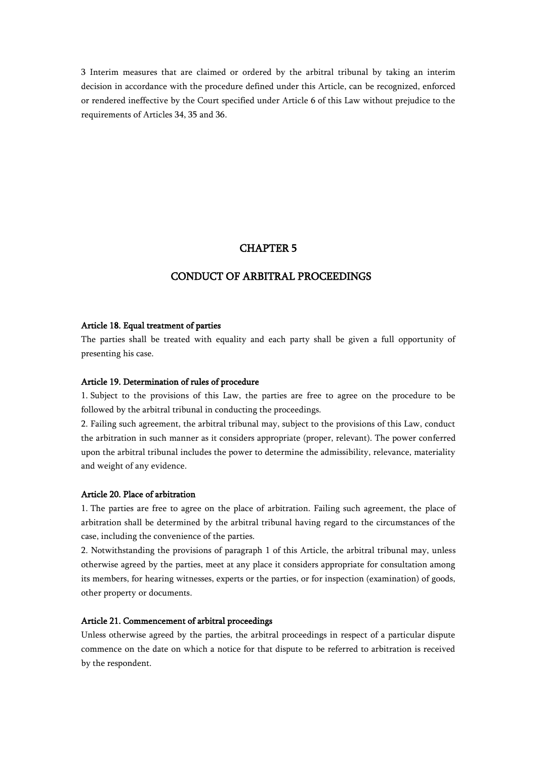3 Interim measures that are claimed or ordered by the arbitral tribunal by taking an interim decision in accordance with the procedure defined under this Article, can be recognized, enforced or rendered ineffective by the Court specified under Article 6 of this Law without prejudice to the requirements of Articles 34, 35 and 36.

# CHAPTER 5

# CONDUCT OF ARBITRAL PROCEEDINGS

#### Article 18. Equal treatment of parties

The parties shall be treated with equality and each party shall be given a full opportunity of presenting his case.

## Article 19. Determination of rules of procedure

1. Subject to the provisions of this Law, the parties are free to agree on the procedure to be followed by the arbitral tribunal in conducting the proceedings.

2. Failing such agreement, the arbitral tribunal may, subject to the provisions of this Law, conduct the arbitration in such manner as it considers appropriate (proper, relevant). The power conferred upon the arbitral tribunal includes the power to determine the admissibility, relevance, materiality and weight of any evidence.

#### Article 20. Place of arbitration

1. The parties are free to agree on the place of arbitration. Failing such agreement, the place of arbitration shall be determined by the arbitral tribunal having regard to the circumstances of the case, including the convenience of the parties.

2. Notwithstanding the provisions of paragraph 1 of this Article, the arbitral tribunal may, unless otherwise agreed by the parties, meet at any place it considers appropriate for consultation among its members, for hearing witnesses, experts or the parties, or for inspection (examination) of goods, other property or documents.

### Article 21. Commencement of arbitral proceedings

Unless otherwise agreed by the parties, the arbitral proceedings in respect of a particular dispute commence on the date on which a notice for that dispute to be referred to arbitration is received by the respondent.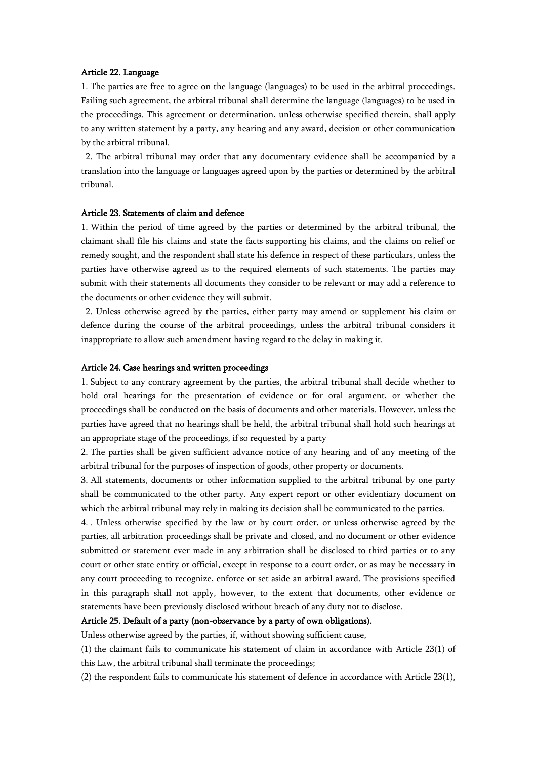### Article 22. Language

1. The parties are free to agree on the language (languages) to be used in the arbitral proceedings. Failing such agreement, the arbitral tribunal shall determine the language (languages) to be used in the proceedings. This agreement or determination, unless otherwise specified therein, shall apply to any written statement by a party, any hearing and any award, decision or other communication by the arbitral tribunal.

2. The arbitral tribunal may order that any documentary evidence shall be accompanied by a translation into the language or languages agreed upon by the parties or determined by the arbitral tribunal.

## Article 23. Statements of claim and defence

1. Within the period of time agreed by the parties or determined by the arbitral tribunal, the claimant shall file his claims and state the facts supporting his claims, and the claims on relief or remedy sought, and the respondent shall state his defence in respect of these particulars, unless the parties have otherwise agreed as to the required elements of such statements. The parties may submit with their statements all documents they consider to be relevant or may add a reference to the documents or other evidence they will submit.

2. Unless otherwise agreed by the parties, either party may amend or supplement his claim or defence during the course of the arbitral proceedings, unless the arbitral tribunal considers it inappropriate to allow such amendment having regard to the delay in making it.

#### Article 24. Case hearings and written proceedings

1. Subject to any contrary agreement by the parties, the arbitral tribunal shall decide whether to hold oral hearings for the presentation of evidence or for oral argument, or whether the proceedings shall be conducted on the basis of documents and other materials. However, unless the parties have agreed that no hearings shall be held, the arbitral tribunal shall hold such hearings at an appropriate stage of the proceedings, if so requested by a party

2. The parties shall be given sufficient advance notice of any hearing and of any meeting of the arbitral tribunal for the purposes of inspection of goods, other property or documents.

3. All statements, documents or other information supplied to the arbitral tribunal by one party shall be communicated to the other party. Any expert report or other evidentiary document on which the arbitral tribunal may rely in making its decision shall be communicated to the parties.

4. . Unless otherwise specified by the law or by court order, or unless otherwise agreed by the parties, all arbitration proceedings shall be private and closed, and no document or other evidence submitted or statement ever made in any arbitration shall be disclosed to third parties or to any court or other state entity or official, except in response to a court order, or as may be necessary in any court proceeding to recognize, enforce or set aside an arbitral award. The provisions specified in this paragraph shall not apply, however, to the extent that documents, other evidence or statements have been previously disclosed without breach of any duty not to disclose.

## Article 25. Default of a party (non-observance by a party of own obligations).

Unless otherwise agreed by the parties, if, without showing sufficient cause,

(1) the claimant fails to communicate his statement of claim in accordance with Article 23(1) of this Law, the arbitral tribunal shall terminate the proceedings;

(2) the respondent fails to communicate his statement of defence in accordance with Article 23(1),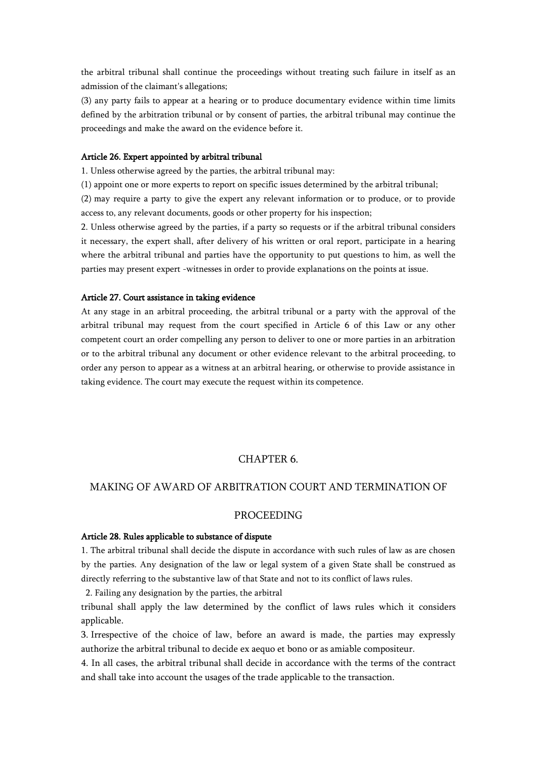the arbitral tribunal shall continue the proceedings without treating such failure in itself as an admission of the claimant's allegations;

(3) any party fails to appear at a hearing or to produce documentary evidence within time limits defined by the arbitration tribunal or by consent of parties, the arbitral tribunal may continue the proceedings and make the award on the evidence before it.

### Article 26. Expert appointed by arbitral tribunal

1. Unless otherwise agreed by the parties, the arbitral tribunal may:

(1) appoint one or more experts to report on specific issues determined by the arbitral tribunal;

(2) may require a party to give the expert any relevant information or to produce, or to provide access to, any relevant documents, goods or other property for his inspection;

2. Unless otherwise agreed by the parties, if a party so requests or if the arbitral tribunal considers it necessary, the expert shall, after delivery of his written or oral report, participate in a hearing where the arbitral tribunal and parties have the opportunity to put questions to him, as well the parties may present expert -witnesses in order to provide explanations on the points at issue.

### Article 27. Court assistance in taking evidence

At any stage in an arbitral proceeding, the arbitral tribunal or a party with the approval of the arbitral tribunal may request from the court specified in Article 6 of this Law or any other competent court an order compelling any person to deliver to one or more parties in an arbitration or to the arbitral tribunal any document or other evidence relevant to the arbitral proceeding, to order any person to appear as a witness at an arbitral hearing, or otherwise to provide assistance in taking evidence. The court may execute the request within its competence.

# CHAPTER 6.

# MAKING OF AWARD OF ARBITRATION COURT AND TERMINATION OF

## PROCEEDING

## Article 28. Rules applicable to substance of dispute

1. The arbitral tribunal shall decide the dispute in accordance with such rules of law as are chosen by the parties. Any designation of the law or legal system of a given State shall be construed as directly referring to the substantive law of that State and not to its conflict of laws rules.

2. Failing any designation by the parties, the arbitral

tribunal shall apply the law determined by the conflict of laws rules which it considers applicable.

3. Irrespective of the choice of law, before an award is made, the parties may expressly authorize the arbitral tribunal to decide ex aequo et bono or as amiable compositeur.

4. In all cases, the arbitral tribunal shall decide in accordance with the terms of the contract and shall take into account the usages of the trade applicable to the transaction.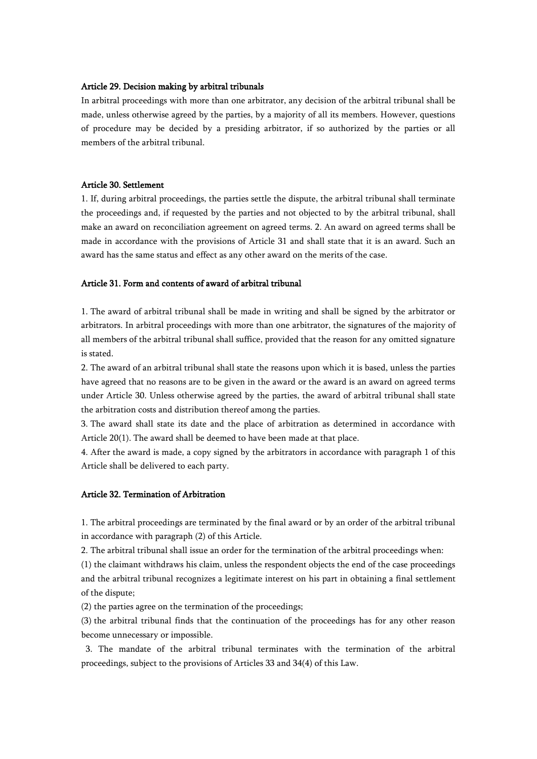## Article 29. Decision making by arbitral tribunals

In arbitral proceedings with more than one arbitrator, any decision of the arbitral tribunal shall be made, unless otherwise agreed by the parties, by a majority of all its members. However, questions of procedure may be decided by a presiding arbitrator, if so authorized by the parties or all members of the arbitral tribunal.

### Article 30. Settlement

1. If, during arbitral proceedings, the parties settle the dispute, the arbitral tribunal shall terminate the proceedings and, if requested by the parties and not objected to by the arbitral tribunal, shall make an award on reconciliation agreement on agreed terms. 2. An award on agreed terms shall be made in accordance with the provisions of Article 31 and shall state that it is an award. Such an award has the same status and effect as any other award on the merits of the case.

# Article 31. Form and contents of award of arbitral tribunal

1. The award of arbitral tribunal shall be made in writing and shall be signed by the arbitrator or arbitrators. In arbitral proceedings with more than one arbitrator, the signatures of the majority of all members of the arbitral tribunal shall suffice, provided that the reason for any omitted signature is stated.

2. The award of an arbitral tribunal shall state the reasons upon which it is based, unless the parties have agreed that no reasons are to be given in the award or the award is an award on agreed terms under Article 30. Unless otherwise agreed by the parties, the award of arbitral tribunal shall state the arbitration costs and distribution thereof among the parties.

3. The award shall state its date and the place of arbitration as determined in accordance with Article 20(1). The award shall be deemed to have been made at that place.

4. After the award is made, a copy signed by the arbitrators in accordance with paragraph 1 of this Article shall be delivered to each party.

### Article 32. Termination of Arbitration

1. The arbitral proceedings are terminated by the final award or by an order of the arbitral tribunal in accordance with paragraph (2) of this Article.

2. The arbitral tribunal shall issue an order for the termination of the arbitral proceedings when:

(1) the claimant withdraws his claim, unless the respondent objects the end of the case proceedings and the arbitral tribunal recognizes a legitimate interest on his part in obtaining a final settlement of the dispute;

(2) the parties agree on the termination of the proceedings;

(3) the arbitral tribunal finds that the continuation of the proceedings has for any other reason become unnecessary or impossible.

3. The mandate of the arbitral tribunal terminates with the termination of the arbitral proceedings, subject to the provisions of Articles 33 and 34(4) of this Law.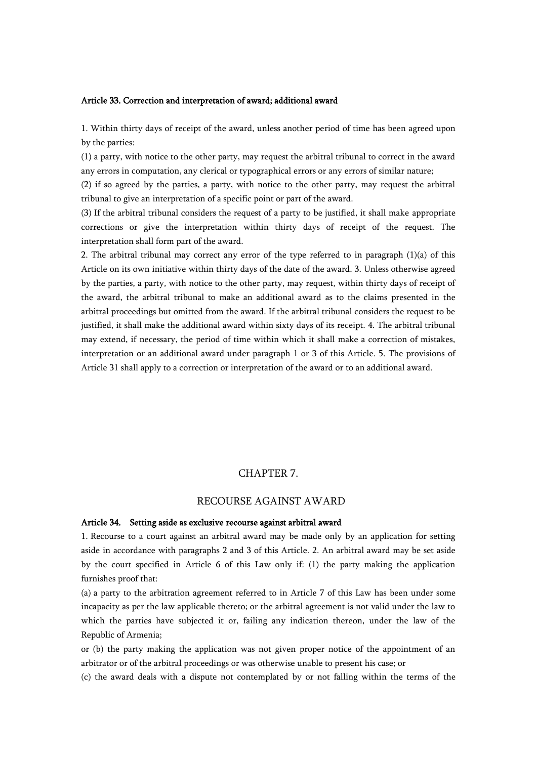#### Article 33. Correction and interpretation of award; additional award

1. Within thirty days of receipt of the award, unless another period of time has been agreed upon by the parties:

(1) a party, with notice to the other party, may request the arbitral tribunal to correct in the award any errors in computation, any clerical or typographical errors or any errors of similar nature;

(2) if so agreed by the parties, a party, with notice to the other party, may request the arbitral tribunal to give an interpretation of a specific point or part of the award.

(3) If the arbitral tribunal considers the request of a party to be justified, it shall make appropriate corrections or give the interpretation within thirty days of receipt of the request. The interpretation shall form part of the award.

2. The arbitral tribunal may correct any error of the type referred to in paragraph  $(1)(a)$  of this Article on its own initiative within thirty days of the date of the award. 3. Unless otherwise agreed by the parties, a party, with notice to the other party, may request, within thirty days of receipt of the award, the arbitral tribunal to make an additional award as to the claims presented in the arbitral proceedings but omitted from the award. If the arbitral tribunal considers the request to be justified, it shall make the additional award within sixty days of its receipt. 4. The arbitral tribunal may extend, if necessary, the period of time within which it shall make a correction of mistakes, interpretation or an additional award under paragraph 1 or 3 of this Article. 5. The provisions of Article 31 shall apply to a correction or interpretation of the award or to an additional award.

## CHAPTER 7.

# RECOURSE AGAINST AWARD

## Article 34. Setting aside as exclusive recourse against arbitral award

1. Recourse to a court against an arbitral award may be made only by an application for setting aside in accordance with paragraphs 2 and 3 of this Article. 2. An arbitral award may be set aside by the court specified in Article 6 of this Law only if: (1) the party making the application furnishes proof that:

(a) a party to the arbitration agreement referred to in Article 7 of this Law has been under some incapacity as per the law applicable thereto; or the arbitral agreement is not valid under the law to which the parties have subjected it or, failing any indication thereon, under the law of the Republic of Armenia;

or (b) the party making the application was not given proper notice of the appointment of an arbitrator or of the arbitral proceedings or was otherwise unable to present his case; or

(c) the award deals with a dispute not contemplated by or not falling within the terms of the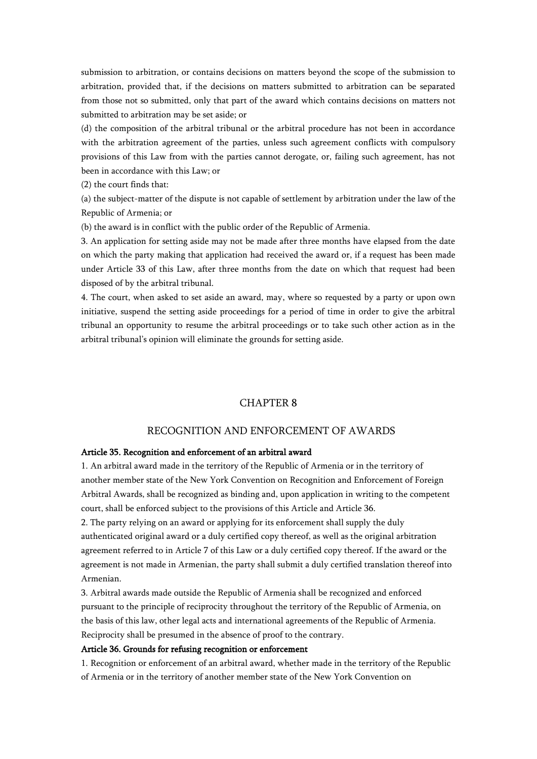submission to arbitration, or contains decisions on matters beyond the scope of the submission to arbitration, provided that, if the decisions on matters submitted to arbitration can be separated from those not so submitted, only that part of the award which contains decisions on matters not submitted to arbitration may be set aside; or

(d) the composition of the arbitral tribunal or the arbitral procedure has not been in accordance with the arbitration agreement of the parties, unless such agreement conflicts with compulsory provisions of this Law from with the parties cannot derogate, or, failing such agreement, has not been in accordance with this Law; or

(2) the court finds that:

(a) the subject-matter of the dispute is not capable of settlement by arbitration under the law of the Republic of Armenia; or

(b) the award is in conflict with the public order of the Republic of Armenia.

3. An application for setting aside may not be made after three months have elapsed from the date on which the party making that application had received the award or, if a request has been made under Article 33 of this Law, after three months from the date on which that request had been disposed of by the arbitral tribunal.

4. The court, when asked to set aside an award, may, where so requested by a party or upon own initiative, suspend the setting aside proceedings for a period of time in order to give the arbitral tribunal an opportunity to resume the arbitral proceedings or to take such other action as in the arbitral tribunal's opinion will eliminate the grounds for setting aside.

# CHAPTER 8

# RECOGNITION AND ENFORCEMENT OF AWARDS

### Article 35. Recognition and enforcement of an arbitral award

1. An arbitral award made in the territory of the Republic of Armenia or in the territory of another member state of the New York Convention on Recognition and Enforcement of Foreign Arbitral Awards, shall be recognized as binding and, upon application in writing to the competent court, shall be enforced subject to the provisions of this Article and Article 36.

2. The party relying on an award or applying for its enforcement shall supply the duly authenticated original award or a duly certified copy thereof, as well as the original arbitration agreement referred to in Article 7 of this Law or a duly certified copy thereof. If the award or the agreement is not made in Armenian, the party shall submit a duly certified translation thereof into Armenian.

3. Arbitral awards made outside the Republic of Armenia shall be recognized and enforced pursuant to the principle of reciprocity throughout the territory of the Republic of Armenia, on the basis of this law, other legal acts and international agreements of the Republic of Armenia. Reciprocity shall be presumed in the absence of proof to the contrary.

#### Article 36. Grounds for refusing recognition or enforcement

1. Recognition or enforcement of an arbitral award, whether made in the territory of the Republic of Armenia or in the territory of another member state of the New York Convention on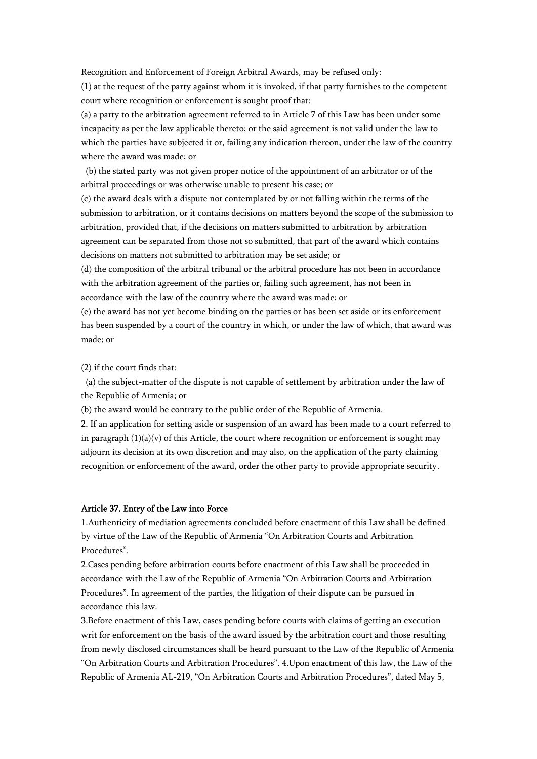Recognition and Enforcement of Foreign Arbitral Awards, may be refused only:

(1) at the request of the party against whom it is invoked, if that party furnishes to the competent court where recognition or enforcement is sought proof that:

(a) a party to the arbitration agreement referred to in Article 7 of this Law has been under some incapacity as per the law applicable thereto; or the said agreement is not valid under the law to which the parties have subjected it or, failing any indication thereon, under the law of the country where the award was made; or

(b) the stated party was not given proper notice of the appointment of an arbitrator or of the arbitral proceedings or was otherwise unable to present his case; or

(c) the award deals with a dispute not contemplated by or not falling within the terms of the submission to arbitration, or it contains decisions on matters beyond the scope of the submission to arbitration, provided that, if the decisions on matters submitted to arbitration by arbitration agreement can be separated from those not so submitted, that part of the award which contains decisions on matters not submitted to arbitration may be set aside; or

(d) the composition of the arbitral tribunal or the arbitral procedure has not been in accordance with the arbitration agreement of the parties or, failing such agreement, has not been in accordance with the law of the country where the award was made; or

(e) the award has not yet become binding on the parties or has been set aside or its enforcement has been suspended by a court of the country in which, or under the law of which, that award was made; or

(2) if the court finds that:

(a) the subject-matter of the dispute is not capable of settlement by arbitration under the law of the Republic of Armenia; or

(b) the award would be contrary to the public order of the Republic of Armenia.

2. If an application for setting aside or suspension of an award has been made to a court referred to in paragraph  $(1)(a)(v)$  of this Article, the court where recognition or enforcement is sought may adjourn its decision at its own discretion and may also, on the application of the party claiming recognition or enforcement of the award, order the other party to provide appropriate security.

### Article 37. Entry of the Law into Force

1.Authenticity of mediation agreements concluded before enactment of this Law shall be defined by virtue of the Law of the Republic of Armenia "On Arbitration Courts and Arbitration Procedures".

2.Cases pending before arbitration courts before enactment of this Law shall be proceeded in accordance with the Law of the Republic of Armenia "On Arbitration Courts and Arbitration Procedures". In agreement of the parties, the litigation of their dispute can be pursued in accordance this law.

3.Before enactment of this Law, cases pending before courts with claims of getting an execution writ for enforcement on the basis of the award issued by the arbitration court and those resulting from newly disclosed circumstances shall be heard pursuant to the Law of the Republic of Armenia "On Arbitration Courts and Arbitration Procedures". 4.Upon enactment of this law, the Law of the Republic of Armenia AL-219, "On Arbitration Courts and Arbitration Procedures", dated May 5,